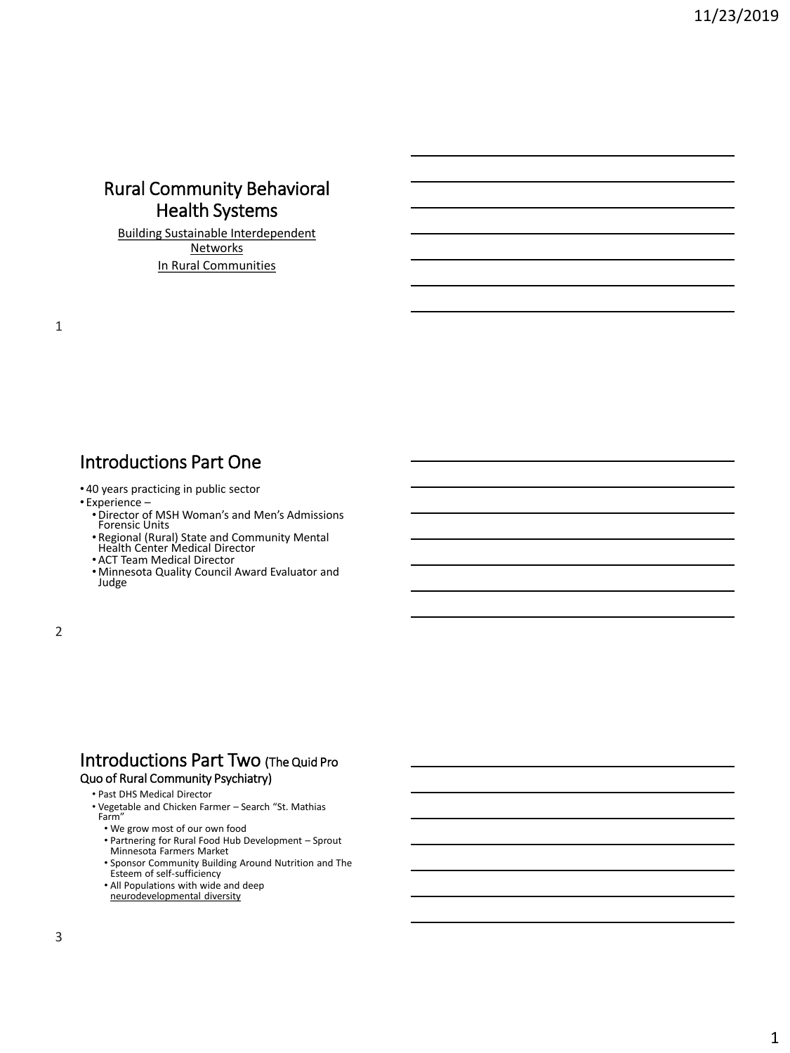## Rural Community Behavioral Health Systems

Building Sustainable Interdependent **Networks** In Rural Communities

## Introductions Part One

- 40 years practicing in public sector
- Experience
	- •Director of MSH Woman's and Men's Admissions Forensic Units
	- Regional (Rural) State and Community Mental Health Center Medical Director
	-
	- •ACT Team Medical Director
	- Minnesota Quality Council Award Evaluator and Judge

### Introductions Part Two (The Quid Pro Quo of Rural Community Psychiatry)

- Past DHS Medical Director
- Vegetable and Chicken Farmer Search "St. Mathias Farm"
	- We grow most of our own food
	- Partnering for Rural Food Hub Development Sprout Minnesota Farmers Market
	- Sponsor Community Building Around Nutrition and The Esteem of self-sufficiency
	- All Populations with wide and deep neurodevelopmental diversity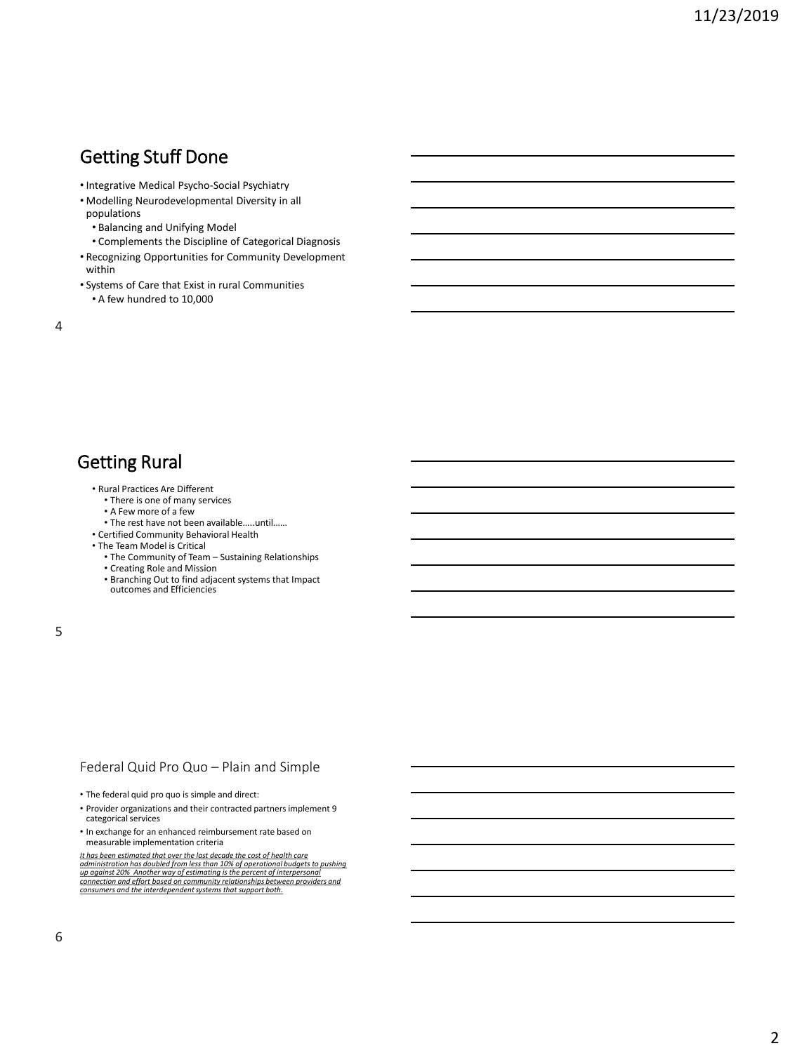# Getting Stuff Done

- Integrative Medical Psycho-Social Psychiatry
- Modelling Neurodevelopmental Diversity in all populations
	- Balancing and Unifying Model
	- Complements the Discipline of Categorical Diagnosis
- Recognizing Opportunities for Community Development within
- Systems of Care that Exist in rural Communities • A few hundred to 10,000

4

## Getting Rural

- Rural Practices Are Different
	- There is one of many services
	- A Few more of a few
- The rest have not been available…..until…… • Certified Community Behavioral Health
- 
- The Team Model is Critical
	- The Community of Team Sustaining Relationships
	- Creating Role and Mission
	- Branching Out to find adjacent systems that Impact outcomes and Efficiencies

5

#### Federal Quid Pro Quo – Plain and Simple

- The federal quid pro quo is simple and direct:
- Provider organizations and their contracted partners implement 9 categorical services
- In exchange for an enhanced reimbursement rate based on measurable implementation criteria

I<u>t has been estimated that over the last decade the cost of health care</u><br>administration has doubled from less than 10% of operational budgets to pushing up against 20% Another way of estimating is the percent of interpersonal<br>connection and effort based on community relationships between providers and<br>consumers and the interdependent systems that support both.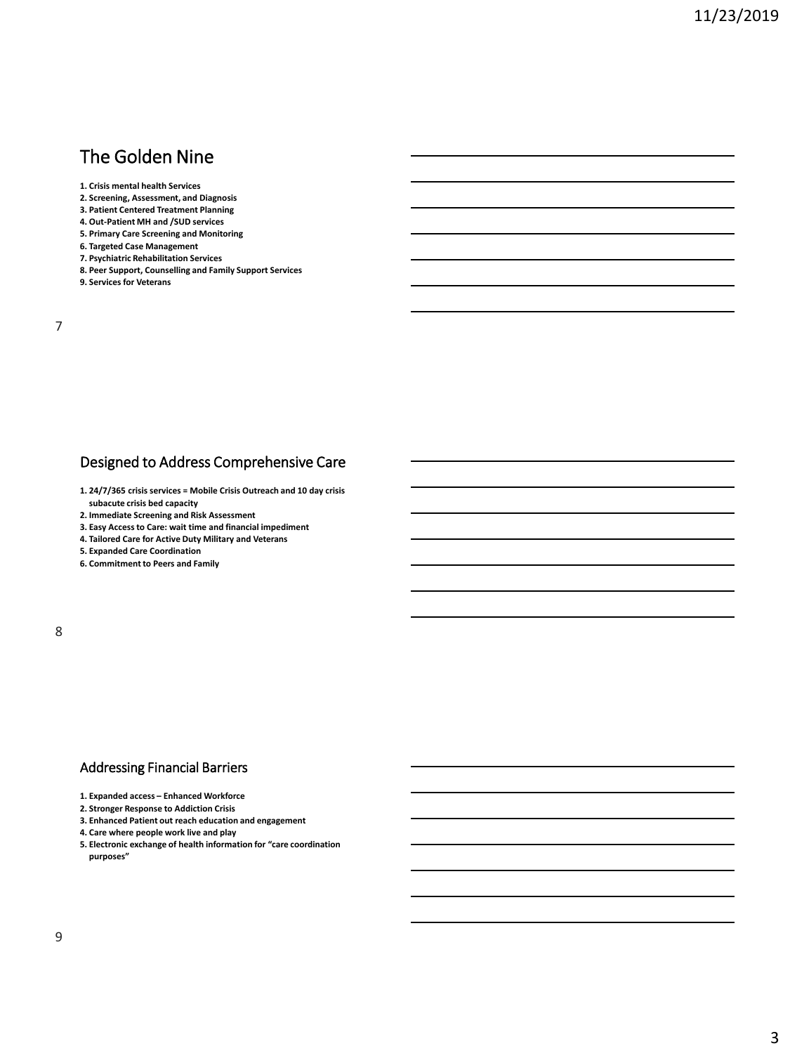# The Golden Nine

- **1. Crisis mental health Services**
- **2. Screening, Assessment, and Diagnosis**
- **3. Patient Centered Treatment Planning**
- **4. Out-Patient MH and /SUD services**
- **5. Primary Care Screening and Monitoring**
- **6. Targeted Case Management**
- **7. Psychiatric Rehabilitation Services**
- **8. Peer Support, Counselling and Family Support Services**
- **9. Services for Veterans**

### Designed to Address Comprehensive Care

- **1. 24/7/365 crisis services = Mobile Crisis Outreach and 10 day crisis subacute crisis bed capacity**
- **2. Immediate Screening and Risk Assessment**
- **3. Easy Access to Care: wait time and financial impediment**
- **4. Tailored Care for Active Duty Military and Veterans**
- **5. Expanded Care Coordination**
- **6. Commitment to Peers and Family**

### Addressing Financial Barriers

- **1. Expanded access – Enhanced Workforce**
- **2. Stronger Response to Addiction Crisis**
- **3. Enhanced Patient out reach education and engagement**
- **4. Care where people work live and play**
- **5. Electronic exchange of health information for "care coordination purposes"**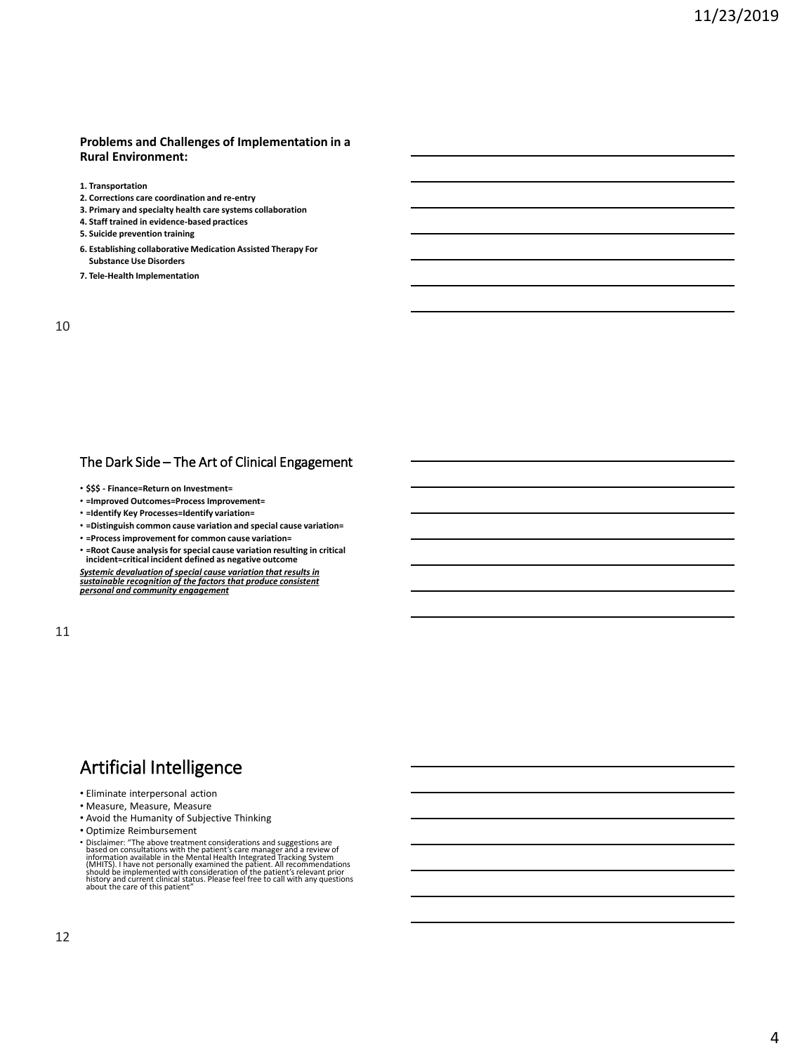#### **Problems and Challenges of Implementation in a Rural Environment:**

- **1. Transportation**
- **2. Corrections care coordination and re-entry**
- **3. Primary and specialty health care systems collaboration**
- **4. Staff trained in evidence-based practices**
- **5. Suicide prevention training**
- **6. Establishing collaborative Medication Assisted Therapy For Substance Use Disorders**
- **7. Tele-Health Implementation**

10

### The Dark Side – The Art of Clinical Engagement

- **\$\$\$ - Finance=Return on Investment=**
- **=Improved Outcomes=Process Improvement=**
- **=Identify Key Processes=Identify variation=**
- **=Distinguish common cause variation and special cause variation=**
- **=Process improvement for common cause variation=**
- **=Root Cause analysis for special cause variation resulting in critical incident=critical incident defined as negative outcome**

*Systemic devaluation of special cause variation that results in sustainable recognition of the factors that produce consistent personal and community engagement*

11

# Artificial Intelligence

- Eliminate interpersonal action
- Measure, Measure, Measure
- Avoid the Humanity of Subjective Thinking
- Optimize Reimbursement
- Disclaimer: "The above treatment considerations and suggestions are based on consultations with the patient's care manager and a review of<br>information available in the Mental Health Integrated Tracking System<br>(MHITS). I have not personally examined the patient. All recommendations<br>should b